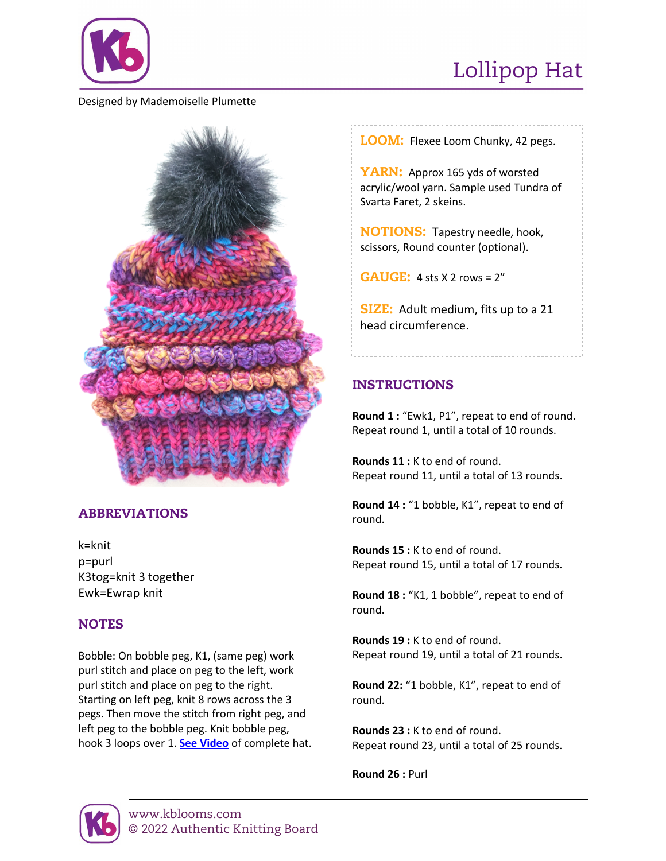

# Lollipop Hat

#### Designed by Mademoiselle Plumette



# ABBREVIATIONS

k=knit p=purl K3tog=knit 3 together Ewk=Ewrap knit

### **NOTES**

Bobble: On bobble peg, K1, (same peg) work purl stitch and place on peg to the left, work purl stitch and place on peg to the right. Starting on left peg, knit 8 rows across the 3 pegs. Then move the stitch from right peg, and left peg to the bobble peg. Knit bobble peg, hook 3 loops over 1. **[See Video](https://www.knittingboard.com/lollipop-hat/)** of complete hat. LOOM: Flexee Loom Chunky, 42 pegs.

YARN: Approx 165 yds of worsted acrylic/wool yarn. Sample used Tundra of Svarta Faret, 2 skeins.

NOTIONS: Tapestry needle, hook, scissors, Round counter (optional).

**GAUGE:** 4 sts  $\times$  2 rows =  $2"$ 

**SIZE:** Adult medium, fits up to a 21 head circumference.

## INSTRUCTIONS

**Round 1 :** "Ewk1, P1", repeat to end of round. Repeat round 1, until a total of 10 rounds.

**Rounds 11 :** K to end of round. Repeat round 11, until a total of 13 rounds.

**Round 14 :** "1 bobble, K1", repeat to end of round.

**Rounds 15 :** K to end of round. Repeat round 15, until a total of 17 rounds.

**Round 18 :** "K1, 1 bobble", repeat to end of round.

**Rounds 19 :** K to end of round. Repeat round 19, until a total of 21 rounds.

**Round 22:** "1 bobble, K1", repeat to end of round.

**Rounds 23 :** K to end of round. Repeat round 23, until a total of 25 rounds.

**Round 26 :** Purl